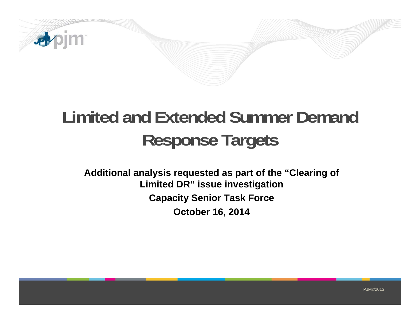

## **Limited and Extended Summer Demand Response Targets**

**Additional analysis requested as part of the "Clearing of Limited DR" issue investigation Capacity Senior Task Force October 16, 2014**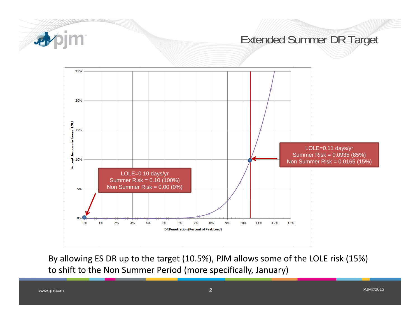

By allowing ES DR up to the target (10.5%), PJM allows some of the LOLE risk (15%) to shift to the Non Summer Period (more specifically, January)

www.pjm.com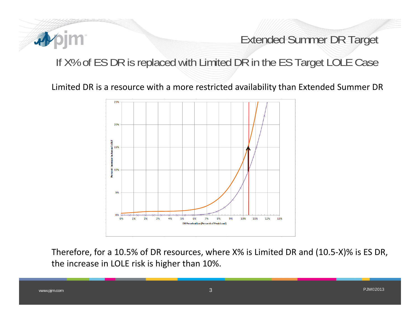

Extended Summer DR Target

## If X% of ES DR is replaced with Limited DR in the ES Target LOLE Case

Limited DR is <sup>a</sup> resource with <sup>a</sup> more restricted availability than Extended Summer DR



Therefore, for <sup>a</sup> 10.5% of DR resources, where X% is Limited DR and (10.5‐X)% is ES DR, the increase in LOLE risk is higher than 10%.

www.pjm.com 3 PJM©2013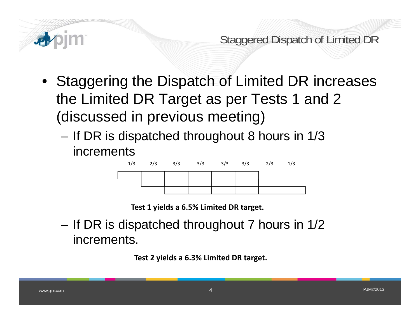

Staggered Dispatch of Limited DR

- Staggering the Dispatch of Limited DR increases the Limited DR Target as per Tests 1 and 2 (discussed in previous meeting)
	- If DR is dispatched throughout 8 hours in 1/3 increments



**Test 1 yields <sup>a</sup> 6.5% Limited DR target.**

 If DR is dispatched throughout 7 hours in 1/2 increments.

**Test 2 yields <sup>a</sup> 6.3% Limited DR target.**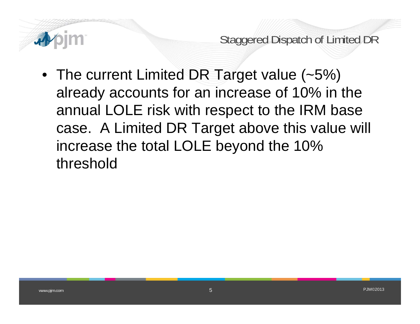

Staggered Dispatch of Limited DR

• The current Limited DR Target value (~5%) already accounts for an increase of 10% in the annual LOLE risk with respect to the IRM base case. A Limited DR Target above this value will increase the total LOLE beyond the 10% threshold